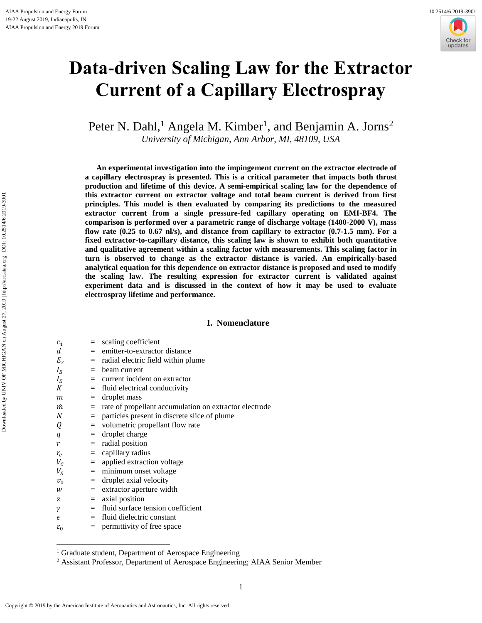

# **Data-driven Scaling Law for the Extractor Current of a Capillary Electrospray**

Peter N. Dahl,<sup>1</sup> Angela M. Kimber<sup>1</sup>, and Benjamin A. Jorns<sup>2</sup> *University of Michigan, Ann Arbor, MI, 48109, USA*

**An experimental investigation into the impingement current on the extractor electrode of a capillary electrospray is presented. This is a critical parameter that impacts both thrust production and lifetime of this device. A semi-empirical scaling law for the dependence of this extractor current on extractor voltage and total beam current is derived from first principles. This model is then evaluated by comparing its predictions to the measured extractor current from a single pressure-fed capillary operating on EMI-BF4. The comparison is performed over a parametric range of discharge voltage (1400-2000 V), mass flow rate (0.25 to 0.67 nl/s), and distance from capillary to extractor (0.7-1.5 mm). For a fixed extractor-to-capillary distance, this scaling law is shown to exhibit both quantitative and qualitative agreement within a scaling factor with measurements. This scaling factor in turn is observed to change as the extractor distance is varied. An empirically-based analytical equation for this dependence on extractor distance is proposed and used to modify the scaling law. The resulting expression for extractor current is validated against experiment data and is discussed in the context of how it may be used to evaluate electrospray lifetime and performance.** 

# **I. Nomenclature**

| c <sub>1</sub>  | $\quad \  \  =$                | scaling coefficient                                    |
|-----------------|--------------------------------|--------------------------------------------------------|
| d               |                                | $=$ emitter-to-extractor distance                      |
| $E_r$           | $=$                            | radial electric field within plume                     |
| $I_R$           | $=$                            | beam current                                           |
| $I_E$           |                                | $=$ current incident on extractor                      |
| К               | $=$                            | fluid electrical conductivity                          |
| m               | $=$                            | droplet mass                                           |
| m               | $=$                            | rate of propellant accumulation on extractor electrode |
| N               | $=$                            | particles present in discrete slice of plume           |
| Q               | $=$                            | volumetric propellant flow rate                        |
| q               | $=$                            | droplet charge                                         |
| r               | $=$                            | radial position                                        |
| $r_e$           | $\qquad \qquad =\qquad \qquad$ | capillary radius                                       |
| $V_c$           | $=$                            | applied extraction voltage                             |
| $V_{S}$         |                                | $=$ minimum onset voltage                              |
| $v_{\rm z}$     | $=$                            | droplet axial velocity                                 |
| W               | $=$                            | extractor aperture width                               |
| Z               | $=$                            | axial position                                         |
| γ               | $=$                            | fluid surface tension coefficient                      |
| $\epsilon$      | $=$                            | fluid dielectric constant                              |
| $\varepsilon_0$ | $=$                            | permittivity of free space                             |
|                 |                                |                                                        |

<sup>&</sup>lt;sup>1</sup> Graduate student, Department of Aerospace Engineering

 $\overline{a}$ 

<sup>2</sup> Assistant Professor, Department of Aerospace Engineering; AIAA Senior Member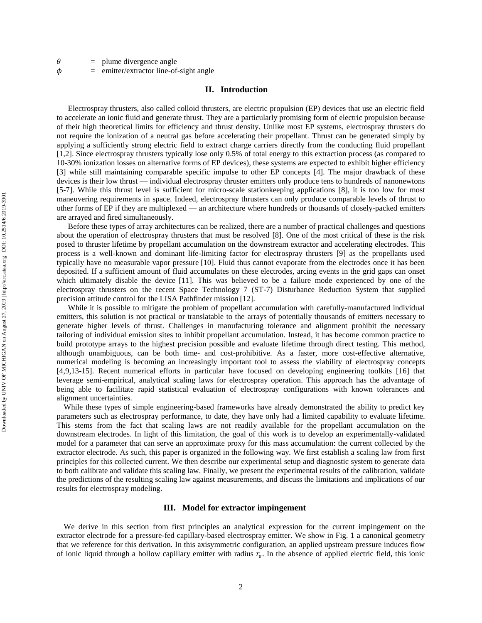| θ |  | plume divergence angle |  |
|---|--|------------------------|--|
|---|--|------------------------|--|

 $\phi$  = emitter/extractor line-of-sight angle

# **II. Introduction**

Electrospray thrusters, also called colloid thrusters, are electric propulsion (EP) devices that use an electric field to accelerate an ionic fluid and generate thrust. They are a particularly promising form of electric propulsion because of their high theoretical limits for efficiency and thrust density. Unlike most EP systems, electrospray thrusters do not require the ionization of a neutral gas before accelerating their propellant. Thrust can be generated simply by applying a sufficiently strong electric field to extract charge carriers directly from the conducting fluid propellant [1,2]. Since electrospray thrusters typically lose only 0.5% of total energy to this extraction process (as compared to 10-30% ionization losses on alternative forms of EP devices), these systems are expected to exhibit higher efficiency [3] while still maintaining comparable specific impulse to other EP concepts [4]. The major drawback of these devices is their low thrust — individual electrospray thruster emitters only produce tens to hundreds of nanonewtons [5-7]. While this thrust level is sufficient for micro-scale stationkeeping applications [8], it is too low for most maneuvering requirements in space. Indeed, electrospray thrusters can only produce comparable levels of thrust to other forms of EP if they are multiplexed — an architecture where hundreds or thousands of closely-packed emitters are arrayed and fired simultaneously.

Before these types of array architectures can be realized, there are a number of practical challenges and questions about the operation of electrospray thrusters that must be resolved [8]. One of the most critical of these is the risk posed to thruster lifetime by propellant accumulation on the downstream extractor and accelerating electrodes. This process is a well-known and dominant life-limiting factor for electrospray thrusters [9] as the propellants used typically have no measurable vapor pressure [10]. Fluid thus cannot evaporate from the electrodes once it has been deposited. If a sufficient amount of fluid accumulates on these electrodes, arcing events in the grid gaps can onset which ultimately disable the device [11]. This was believed to be a failure mode experienced by one of the electrospray thrusters on the recent Space Technology 7 (ST-7) Disturbance Reduction System that supplied precision attitude control for the LISA Pathfinder mission [12].

While it is possible to mitigate the problem of propellant accumulation with carefully-manufactured individual emitters, this solution is not practical or translatable to the arrays of potentially thousands of emitters necessary to generate higher levels of thrust. Challenges in manufacturing tolerance and alignment prohibit the necessary tailoring of individual emission sites to inhibit propellant accumulation. Instead, it has become common practice to build prototype arrays to the highest precision possible and evaluate lifetime through direct testing. This method, although unambiguous, can be both time- and cost-prohibitive. As a faster, more cost-effective alternative, numerical modeling is becoming an increasingly important tool to assess the viability of electrospray concepts [4,9,13-15]. Recent numerical efforts in particular have focused on developing engineering toolkits [16] that leverage semi-empirical, analytical scaling laws for electrospray operation. This approach has the advantage of being able to facilitate rapid statistical evaluation of electrospray configurations with known tolerances and alignment uncertainties.

While these types of simple engineering-based frameworks have already demonstrated the ability to predict key parameters such as electrospray performance, to date, they have only had a limited capability to evaluate lifetime. This stems from the fact that scaling laws are not readily available for the propellant accumulation on the downstream electrodes. In light of this limitation, the goal of this work is to develop an experimentally-validated model for a parameter that can serve an approximate proxy for this mass accumulation: the current collected by the extractor electrode. As such, this paper is organized in the following way. We first establish a scaling law from first principles for this collected current. We then describe our experimental setup and diagnostic system to generate data to both calibrate and validate this scaling law. Finally, we present the experimental results of the calibration, validate the predictions of the resulting scaling law against measurements, and discuss the limitations and implications of our results for electrospray modeling.

### **III. Model for extractor impingement**

We derive in this section from first principles an analytical expression for the current impingement on the extractor electrode for a pressure-fed capillary-based electrospray emitter. We show in Fig. 1 a canonical geometry that we reference for this derivation. In this axisymmetric configuration, an applied upstream pressure induces flow of ionic liquid through a hollow capillary emitter with radius  $r_e$ . In the absence of applied electric field, this ionic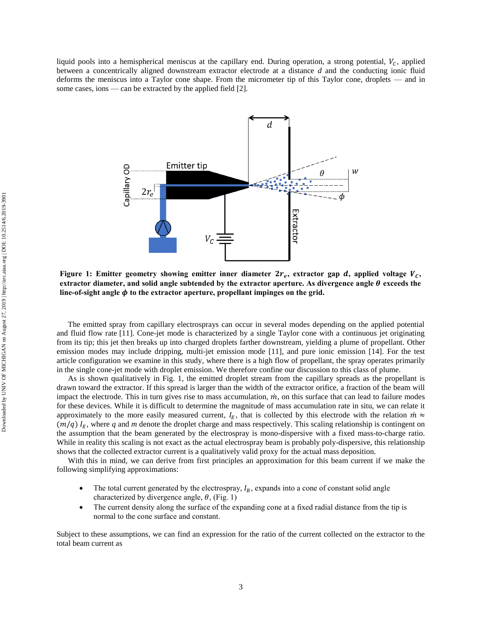liquid pools into a hemispherical meniscus at the capillary end. During operation, a strong potential,  $V_c$ , applied between a concentrically aligned downstream extractor electrode at a distance *d* and the conducting ionic fluid deforms the meniscus into a Taylor cone shape. From the micrometer tip of this Taylor cone, droplets — and in some cases, ions — can be extracted by the applied field [2].



Figure 1: Emitter geometry showing emitter inner diameter  $2r_e$ , extractor gap  $d$ , applied voltage  $V_c$ , **extractor diameter, and solid angle subtended by the extractor aperture. As divergence angle**  $\theta$  **exceeds the line-of-sight angle to the extractor aperture, propellant impinges on the grid.**

The emitted spray from capillary electrosprays can occur in several modes depending on the applied potential and fluid flow rate [11]. Cone-jet mode is characterized by a single Taylor cone with a continuous jet originating from its tip; this jet then breaks up into charged droplets farther downstream, yielding a plume of propellant. Other emission modes may include dripping, multi-jet emission mode [11], and pure ionic emission [14]. For the test article configuration we examine in this study, where there is a high flow of propellant, the spray operates primarily in the single cone-jet mode with droplet emission. We therefore confine our discussion to this class of plume.

As is shown qualitatively in Fig. 1, the emitted droplet stream from the capillary spreads as the propellant is drawn toward the extractor. If this spread is larger than the width of the extractor orifice, a fraction of the beam will impact the electrode. This in turn gives rise to mass accumulation,  $\dot{m}$ , on this surface that can lead to failure modes for these devices. While it is difficult to determine the magnitude of mass accumulation rate in situ, we can relate it approximately to the more easily measured current,  $I<sub>E</sub>$ , that is collected by this electrode with the relation  $\dot{m} \approx$  $(m/q) I<sub>F</sub>$ , where *q* and *m* denote the droplet charge and mass respectively. This scaling relationship is contingent on the assumption that the beam generated by the electrospray is mono-dispersive with a fixed mass-to-charge ratio. While in reality this scaling is not exact as the actual electrospray beam is probably poly-dispersive, this relationship shows that the collected extractor current is a qualitatively valid proxy for the actual mass deposition.

With this in mind, we can derive from first principles an approximation for this beam current if we make the following simplifying approximations:

- The total current generated by the electrospray,  $I_B$ , expands into a cone of constant solid angle characterized by divergence angle,  $\theta$ , (Fig. 1)
- The current density along the surface of the expanding cone at a fixed radial distance from the tip is normal to the cone surface and constant.

Subject to these assumptions, we can find an expression for the ratio of the current collected on the extractor to the total beam current as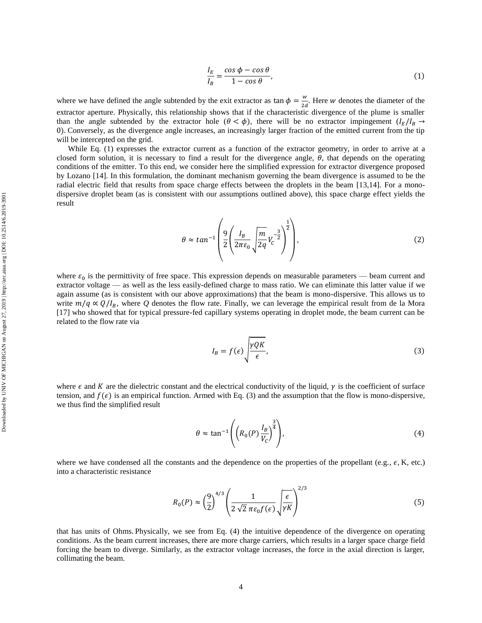$$
\frac{I_E}{I_B} = \frac{\cos\phi - \cos\theta}{1 - \cos\theta},\tag{1}
$$

where we have defined the angle subtended by the exit extractor as  $\tan \phi = \frac{w}{\partial x}$  $\frac{w}{2d}$ . Here *w* denotes the diameter of the extractor aperture. Physically, this relationship shows that if the characteristic divergence of the plume is smaller than the angle subtended by the extractor hole  $(\theta < \phi)$ , there will be no extractor impingement  $(I_F/I_B \rightarrow$ 0). Conversely, as the divergence angle increases, an increasingly larger fraction of the emitted current from the tip will be intercepted on the grid.

While Eq. (1) expresses the extractor current as a function of the extractor geometry, in order to arrive at a closed form solution, it is necessary to find a result for the divergence angle,  $\theta$ , that depends on the operating conditions of the emitter. To this end, we consider here the simplified expression for extractor divergence proposed by Lozano [14]. In this formulation, the dominant mechanism governing the beam divergence is assumed to be the radial electric field that results from space charge effects between the droplets in the beam [13,14]. For a monodispersive droplet beam (as is consistent with our assumptions outlined above), this space charge effect yields the result

$$
\theta \approx \tan^{-1} \left( \frac{9}{2} \left( \frac{I_B}{2\pi \varepsilon_0} \sqrt{\frac{m}{2q}} V_C^{-\frac{3}{2}} \right)^{\frac{1}{2}} \right),\tag{2}
$$

where  $\varepsilon_0$  is the permittivity of free space. This expression depends on measurable parameters — beam current and extractor voltage — as well as the less easily-defined charge to mass ratio. We can eliminate this latter value if we again assume (as is consistent with our above approximations) that the beam is mono-dispersive. This allows us to write  $m/q \propto Q/I_B$ , where Q denotes the flow rate. Finally, we can leverage the empirical result from de la Mora [17] who showed that for typical pressure-fed capillary systems operating in droplet mode, the beam current can be related to the flow rate via

$$
I_B = f(\epsilon) \sqrt{\frac{\gamma Q K}{\epsilon}},
$$
\n(3)

where  $\epsilon$  and K are the dielectric constant and the electrical conductivity of the liquid,  $\gamma$  is the coefficient of surface tension, and  $f(\epsilon)$  is an empirical function. Armed with Eq. (3) and the assumption that the flow is mono-dispersive, we thus find the simplified result

$$
\theta \approx \tan^{-1} \left( \left( R_0(P) \frac{I_B}{V_C} \right)^{\frac{3}{4}} \right), \tag{4}
$$

where we have condensed all the constants and the dependence on the properties of the propellant (e.g.,  $\epsilon$ , K, etc.) into a characteristic resistance

$$
R_0(P) \approx \left(\frac{9}{2}\right)^{4/3} \left(\frac{1}{2\sqrt{2}\pi\varepsilon_0 f(\epsilon)}\sqrt{\frac{\epsilon}{\gamma K}}\right)^{2/3} \tag{5}
$$

that has units of Ohms. Physically, we see from Eq. (4) the intuitive dependence of the divergence on operating conditions. As the beam current increases, there are more charge carriers, which results in a larger space charge field forcing the beam to diverge. Similarly, as the extractor voltage increases, the force in the axial direction is larger, collimating the beam.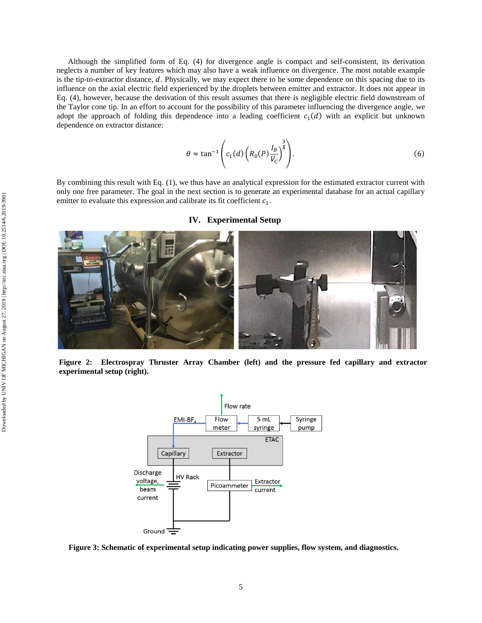Although the simplified form of Eq. (4) for divergence angle is compact and self-consistent, its derivation neglects a number of key features which may also have a weak influence on divergence. The most notable example is the tip-to-extractor distance,  $d$ . Physically, we may expect there to be some dependence on this spacing due to its influence on the axial electric field experienced by the droplets between emitter and extractor. It does not appear in Eq. (4), however, because the derivation of this result assumes that there is negligible electric field downstream of the Taylor cone tip. In an effort to account for the possibility of this parameter influencing the divergence angle, we adopt the approach of folding this dependence into a leading coefficient  $c_1(d)$  with an explicit but unknown dependence on extractor distance:

$$
\theta \approx \tan^{-1} \left( c_1(d) \left( R_0(P) \frac{I_B}{V_C} \right)^{\frac{3}{4}} \right). \tag{6}
$$

By combining this result with Eq. (1), we thus have an analytical expression for the estimated extractor current with only one free parameter. The goal in the next section is to generate an experimental database for an actual capillary emitter to evaluate this expression and calibrate its fit coefficient  $c_1$ .



**IV. Experimental Setup**

**Figure 2: Electrospray Thruster Array Chamber (left) and the pressure fed capillary and extractor experimental setup (right).**



**Figure 3: Schematic of experimental setup indicating power supplies, flow system, and diagnostics.**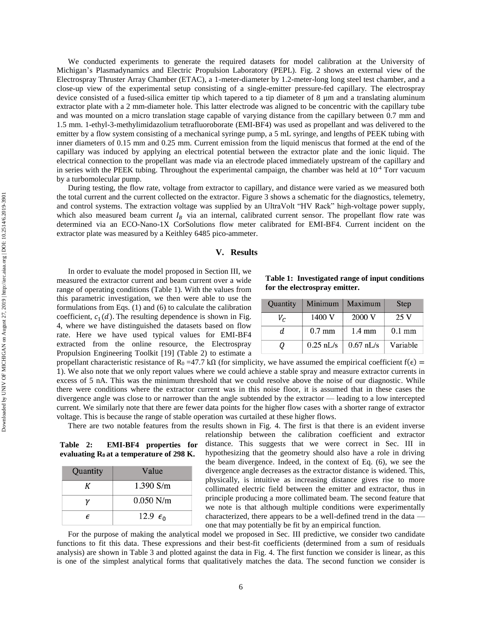We conducted experiments to generate the required datasets for model calibration at the University of Michigan's Plasmadynamics and Electric Propulsion Laboratory (PEPL). Fig. 2 shows an external view of the Electrospray Thruster Array Chamber (ETAC), a 1-meter-diameter by 1.2-meter-long long steel test chamber, and a close-up view of the experimental setup consisting of a single-emitter pressure-fed capillary. The electrospray device consisted of a fused-silica emitter tip which tapered to a tip diameter of  $8 \mu m$  and a translating aluminum extractor plate with a 2 mm-diameter hole. This latter electrode was aligned to be concentric with the capillary tube and was mounted on a micro translation stage capable of varying distance from the capillary between 0.7 mm and 1.5 mm. 1-ethyl-3-methylimidazolium tetrafluoroborate (EMI-BF4) was used as propellant and was delivered to the emitter by a flow system consisting of a mechanical syringe pump, a 5 mL syringe, and lengths of PEEK tubing with inner diameters of 0.15 mm and 0.25 mm. Current emission from the liquid meniscus that formed at the end of the capillary was induced by applying an electrical potential between the extractor plate and the ionic liquid. The electrical connection to the propellant was made via an electrode placed immediately upstream of the capillary and in series with the PEEK tubing. Throughout the experimental campaign, the chamber was held at  $10^{-4}$  Torr vacuum by a turbomolecular pump. During testing, the flow rate, voltage from extractor to capillary, and distance were varied as we measured both

the total current and the current collected on the extractor. Figure 3 shows a schematic for the diagnostics, telemetry, and control systems. The extraction voltage was supplied by an UltraVolt "HV Rack" high-voltage power supply, which also measured beam current  $I_B$  via an internal, calibrated current sensor. The propellant flow rate was determined via an ECO-Nano-1X CorSolutions flow meter calibrated for EMI-BF4. Current incident on the extractor plate was measured by a Keithley 6485 pico-ammeter.

## **V. Results**

In order to evaluate the model proposed in Section III, we measured the extractor current and beam current over a wide range of operating conditions (Table 1). With the values from this parametric investigation, we then were able to use the formulations from Eqs. (1) and (6) to calculate the calibration coefficient,  $c_1(d)$ . The resulting dependence is shown in Fig. 4, where we have distinguished the datasets based on flow rate. Here we have used typical values for EMI-BF4 extracted from the online resource, the Electrospray Propulsion Engineering Toolkit [19] (Table 2) to estimate a

**Table 1: Investigated range of input conditions for the electrospray emitter.** 

| Quantity | Minimum     | Maximum          | <b>Step</b>      |
|----------|-------------|------------------|------------------|
| $V_C$    | 1400 V      | 2000 V           | 25V              |
| d.       | $0.7$ mm    | $1.4 \text{ mm}$ | $0.1 \text{ mm}$ |
| 0        | $0.25$ nL/s | $0.67$ nL/s      | Variable         |

propellant characteristic resistance of R<sub>0</sub> =47.7 kΩ (for simplicity, we have assumed the empirical coefficient f( $\epsilon$ ) = 1). We also note that we only report values where we could achieve a stable spray and measure extractor currents in excess of 5 nA. This was the minimum threshold that we could resolve above the noise of our diagnostic. While there were conditions where the extractor current was in this noise floor, it is assumed that in these cases the divergence angle was close to or narrower than the angle subtended by the extractor — leading to a low intercepted current. We similarly note that there are fewer data points for the higher flow cases with a shorter range of extractor voltage. This is because the range of stable operation was curtailed at these higher flows.

There are two notable features from the results shown in Fig. 4. The first is that there is an evident inverse

**Table 2: EMI-BF4 properties for evaluating R<sup>0</sup> at a temperature of 298 K.**

| Quantity | Value             |
|----------|-------------------|
|          | $1.390$ S/m       |
|          | $0.050$ N/m       |
| F        | 12.9 $\epsilon_0$ |

relationship between the calibration coefficient and extractor distance. This suggests that we were correct in Sec. III in hypothesizing that the geometry should also have a role in driving the beam divergence. Indeed, in the context of Eq. (6), we see the divergence angle decreases as the extractor distance is widened. This, physically, is intuitive as increasing distance gives rise to more collimated electric field between the emitter and extractor, thus in principle producing a more collimated beam. The second feature that we note is that although multiple conditions were experimentally characterized, there appears to be a well-defined trend in the data one that may potentially be fit by an empirical function.

For the purpose of making the analytical model we proposed in Sec. III predictive, we consider two candidate functions to fit this data. These expressions and their best-fit coefficients (determined from a sum of residuals analysis) are shown in Table 3 and plotted against the data in Fig. 4. The first function we consider is linear, as this is one of the simplest analytical forms that qualitatively matches the data. The second function we consider is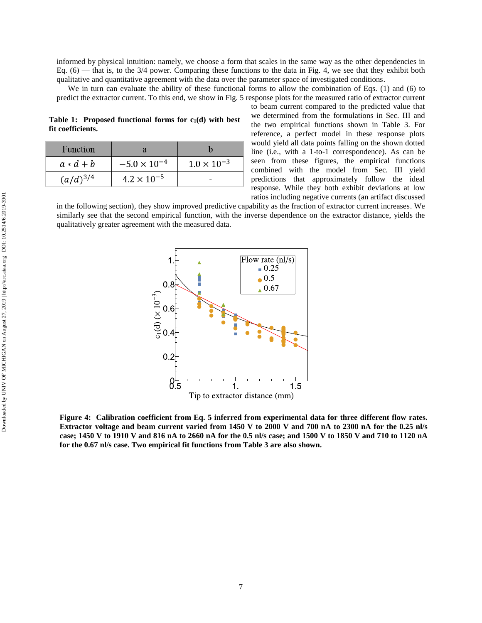informed by physical intuition: namely, we choose a form that scales in the same way as the other dependencies in Eq.  $(6)$  — that is, to the 3/4 power. Comparing these functions to the data in Fig. 4, we see that they exhibit both qualitative and quantitative agreement with the data over the parameter space of investigated conditions.

We in turn can evaluate the ability of these functional forms to allow the combination of Eqs. (1) and (6) to predict the extractor current. To this end, we show in Fig. 5 response plots for the measured ratio of extractor current

**Table 1: Proposed functional forms for c1(d) with best fit coefficients.**

| <b>Function</b> |                       |                      |
|-----------------|-----------------------|----------------------|
| $a * d + b$     | $-5.0 \times 10^{-4}$ | $1.0 \times 10^{-3}$ |
| $(a/d)^{3/4}$   | $4.2 \times 10^{-5}$  |                      |

to beam current compared to the predicted value that we determined from the formulations in Sec. III and the two empirical functions shown in Table 3. For reference, a perfect model in these response plots would yield all data points falling on the shown dotted line (i.e., with a 1-to-1 correspondence). As can be seen from these figures, the empirical functions combined with the model from Sec. III yield predictions that approximately follow the ideal response. While they both exhibit deviations at low ratios including negative currents (an artifact discussed

in the following section), they show improved predictive capability as the fraction of extractor current increases. We similarly see that the second empirical function, with the inverse dependence on the extractor distance, yields the qualitatively greater agreement with the measured data.



**Figure 4: Calibration coefficient from Eq. 5 inferred from experimental data for three different flow rates. Extractor voltage and beam current varied from 1450 V to 2000 V and 700 nA to 2300 nA for the 0.25 nl/s case; 1450 V to 1910 V and 816 nA to 2660 nA for the 0.5 nl/s case; and 1500 V to 1850 V and 710 to 1120 nA for the 0.67 nl/s case. Two empirical fit functions from Table 3 are also shown.**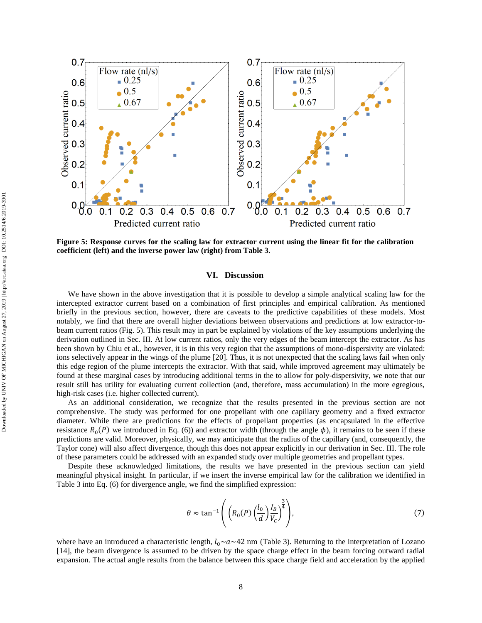

**Figure 5: Response curves for the scaling law for extractor current using the linear fit for the calibration coefficient (left) and the inverse power law (right) from Table 3.** 

### **VI. Discussion**

We have shown in the above investigation that it is possible to develop a simple analytical scaling law for the intercepted extractor current based on a combination of first principles and empirical calibration. As mentioned briefly in the previous section, however, there are caveats to the predictive capabilities of these models. Most notably, we find that there are overall higher deviations between observations and predictions at low extractor-tobeam current ratios (Fig. 5). This result may in part be explained by violations of the key assumptions underlying the derivation outlined in Sec. III. At low current ratios, only the very edges of the beam intercept the extractor. As has been shown by Chiu et al., however, it is in this very region that the assumptions of mono-dispersivity are violated: ions selectively appear in the wings of the plume [20]. Thus, it is not unexpected that the scaling laws fail when only this edge region of the plume intercepts the extractor. With that said, while improved agreement may ultimately be found at these marginal cases by introducing additional terms in the to allow for poly-dispersivity, we note that our result still has utility for evaluating current collection (and, therefore, mass accumulation) in the more egregious, high-risk cases (i.e. higher collected current).

As an additional consideration, we recognize that the results presented in the previous section are not comprehensive. The study was performed for one propellant with one capillary geometry and a fixed extractor diameter. While there are predictions for the effects of propellant properties (as encapsulated in the effective resistance  $R_0(P)$  we introduced in Eq. (6)) and extractor width (through the angle  $\phi$ ), it remains to be seen if these predictions are valid. Moreover, physically, we may anticipate that the radius of the capillary (and, consequently, the Taylor cone) will also affect divergence, though this does not appear explicitly in our derivation in Sec. III. The role of these parameters could be addressed with an expanded study over multiple geometries and propellant types.

Despite these acknowledged limitations, the results we have presented in the previous section can yield meaningful physical insight. In particular, if we insert the inverse empirical law for the calibration we identified in Table 3 into Eq. (6) for divergence angle, we find the simplified expression:

$$
\theta \approx \tan^{-1} \left( \left( R_0(P) \left( \frac{l_0}{d} \right) \frac{l_B}{V_C} \right)^{\frac{3}{4}} \right), \tag{7}
$$

where have an introduced a characteristic length,  $l_0 \sim a \sim 42$  nm (Table 3). Returning to the interpretation of Lozano [14], the beam divergence is assumed to be driven by the space charge effect in the beam forcing outward radial expansion. The actual angle results from the balance between this space charge field and acceleration by the applied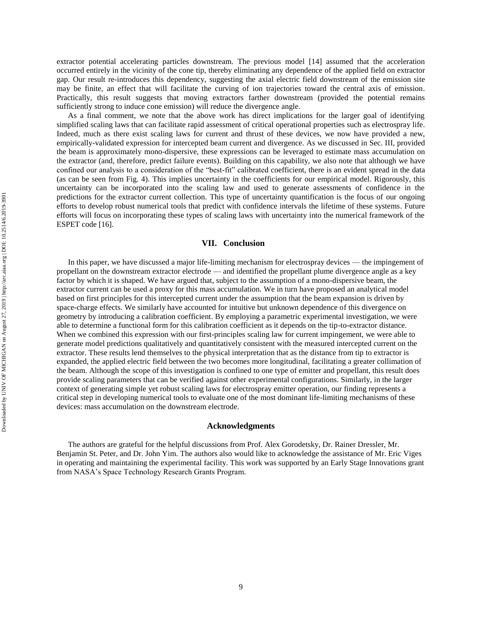extractor potential accelerating particles downstream. The previous model [14] assumed that the acceleration occurred entirely in the vicinity of the cone tip, thereby eliminating any dependence of the applied field on extractor gap. Our result re-introduces this dependency, suggesting the axial electric field downstream of the emission site may be finite, an effect that will facilitate the curving of ion trajectories toward the central axis of emission. Practically, this result suggests that moving extractors farther downstream (provided the potential remains sufficiently strong to induce cone emission) will reduce the divergence angle.

As a final comment, we note that the above work has direct implications for the larger goal of identifying simplified scaling laws that can facilitate rapid assessment of critical operational properties such as electrospray life. Indeed, much as there exist scaling laws for current and thrust of these devices, we now have provided a new, empirically-validated expression for intercepted beam current and divergence. As we discussed in Sec. III, provided the beam is approximately mono-dispersive, these expressions can be leveraged to estimate mass accumulation on the extractor (and, therefore, predict failure events). Building on this capability, we also note that although we have confined our analysis to a consideration of the "best-fit" calibrated coefficient, there is an evident spread in the data (as can be seen from Fig. 4). This implies uncertainty in the coefficients for our empirical model. Rigorously, this uncertainty can be incorporated into the scaling law and used to generate assessments of confidence in the predictions for the extractor current collection. This type of uncertainty quantification is the focus of our ongoing efforts to develop robust numerical tools that predict with confidence intervals the lifetime of these systems. Future efforts will focus on incorporating these types of scaling laws with uncertainty into the numerical framework of the ESPET code [16].

# **VII. Conclusion**

In this paper, we have discussed a major life-limiting mechanism for electrospray devices — the impingement of propellant on the downstream extractor electrode — and identified the propellant plume divergence angle as a key factor by which it is shaped. We have argued that, subject to the assumption of a mono-dispersive beam, the extractor current can be used a proxy for this mass accumulation. We in turn have proposed an analytical model based on first principles for this intercepted current under the assumption that the beam expansion is driven by space-charge effects. We similarly have accounted for intuitive but unknown dependence of this divergence on geometry by introducing a calibration coefficient. By employing a parametric experimental investigation, we were able to determine a functional form for this calibration coefficient as it depends on the tip-to-extractor distance. When we combined this expression with our first-principles scaling law for current impingement, we were able to generate model predictions qualitatively and quantitatively consistent with the measured intercepted current on the extractor. These results lend themselves to the physical interpretation that as the distance from tip to extractor is expanded, the applied electric field between the two becomes more longitudinal, facilitating a greater collimation of the beam. Although the scope of this investigation is confined to one type of emitter and propellant, this result does provide scaling parameters that can be verified against other experimental configurations. Similarly, in the larger context of generating simple yet robust scaling laws for electrospray emitter operation, our finding represents a critical step in developing numerical tools to evaluate one of the most dominant life-limiting mechanisms of these devices: mass accumulation on the downstream electrode.

#### **Acknowledgments**

The authors are grateful for the helpful discussions from Prof. Alex Gorodetsky, Dr. Rainer Dressler, Mr. Benjamin St. Peter, and Dr. John Yim. The authors also would like to acknowledge the assistance of Mr. Eric Viges in operating and maintaining the experimental facility. This work was supported by an Early Stage Innovations grant from NASA's Space Technology Research Grants Program.